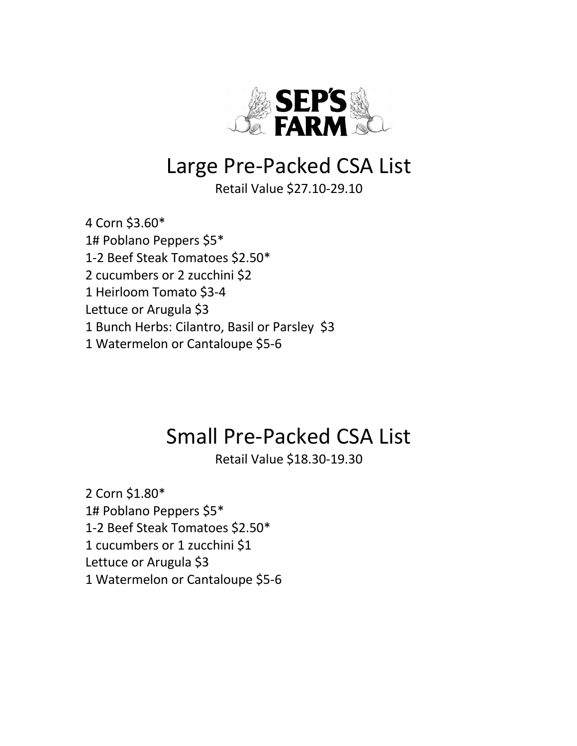

# Large Pre-Packed CSA List

Retail Value \$27.10-29.10

4 Corn \$3.60\* 1# Poblano Peppers \$5\* 1-2 Beef Steak Tomatoes \$2.50\* 2 cucumbers or 2 zucchini \$2 1 Heirloom Tomato \$3-4 Lettuce or Arugula \$3 1 Bunch Herbs: Cilantro, Basil or Parsley \$3 1 Watermelon or Cantaloupe \$5-6

# Small Pre-Packed CSA List

Retail Value \$18.30-19.30

2 Corn \$1.80\* 1# Poblano Peppers \$5\* 1-2 Beef Steak Tomatoes \$2.50\* 1 cucumbers or 1 zucchini \$1 Lettuce or Arugula \$3 1 Watermelon or Cantaloupe \$5-6